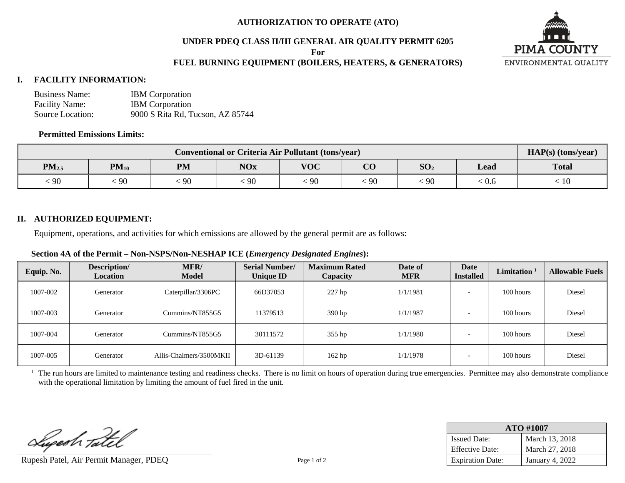# **AUTHORIZATION TO OPERATE (ATO)**

# **UNDER PDEQ CLASS II/III GENERAL AIR QUALITY PERMIT 6205**

**For**

# **FUEL BURNING EQUIPMENT (BOILERS, HEATERS, & GENERATORS)**



#### **I. FACILITY INFORMATION:**

| <b>Business Name:</b> | <b>IBM</b> Corporation           |
|-----------------------|----------------------------------|
| <b>Facility Name:</b> | <b>IBM</b> Corporation           |
| Source Location:      | 9000 S Rita Rd, Tucson, AZ 85744 |

#### **Permitted Emissions Limits:**

| <b>Conventional or Criteria Air Pollutant (tons/year)</b> |           |           |            |            |                 |                 |       | $HAP(s)$ (tons/year) |
|-----------------------------------------------------------|-----------|-----------|------------|------------|-----------------|-----------------|-------|----------------------|
| $PM_{2.5}$                                                | $PM_{10}$ | <b>PM</b> | <b>NOx</b> | <b>VOC</b> | $\alpha$<br>U U | SO <sub>2</sub> | Lead  | <b>Total</b>         |
| 90                                                        | 90        | 90        | $-90$      | $\cdot$ 90 | 90              | 90              | : 0.6 | 10                   |

# **II. AUTHORIZED EQUIPMENT:**

Equipment, operations, and activities for which emissions are allowed by the general permit are as follows:

### **Section 4A of the Permit – Non-NSPS/Non-NESHAP ICE (***Emergency Designated Engines***):**

| Equip. No. | Description/<br><b>Location</b> | MFR/<br><b>Model</b>    | <b>Serial Number/</b><br><b>Unique ID</b> | <b>Maximum Rated</b><br>Capacity | Date of<br><b>MFR</b> | Date<br><b>Installed</b> | Limitation <sup>1</sup> | <b>Allowable Fuels</b> |
|------------|---------------------------------|-------------------------|-------------------------------------------|----------------------------------|-----------------------|--------------------------|-------------------------|------------------------|
| 1007-002   | Generator                       | Caterpillar/3306PC      | 66D37053                                  | 227 hp                           | 1/1/1981              |                          | 100 hours               | Diesel                 |
| 1007-003   | Generator                       | Cummins/NT855G5         | 11379513                                  | 390 hp                           | 1/1/1987              |                          | 100 hours               | Diesel                 |
| 1007-004   | Generator                       | Cummins/NT855G5         | 30111572                                  | 355 hp                           | 1/1/1980              |                          | 100 hours               | Diesel                 |
| 1007-005   | Generator                       | Allis-Chalmers/3500MKII | 3D-61139                                  | $162$ hp                         | 1/1/1978              |                          | 100 hours               | Diesel                 |

 $<sup>1</sup>$  The run hours are limited to maintenance testing and readiness checks. There is no limit on hours of operation during true emergencies. Permittee may also demonstrate compliance</sup> with the operational limitation by limiting the amount of fuel fired in the unit.

Lupesh Tatel

Rupesh Patel, Air Permit Manager, PDEQ Page 1 of 2

| ATO #1007               |                 |  |  |  |
|-------------------------|-----------------|--|--|--|
| <b>Issued Date:</b>     | March 13, 2018  |  |  |  |
| <b>Effective Date:</b>  | March 27, 2018  |  |  |  |
| <b>Expiration Date:</b> | January 4, 2022 |  |  |  |